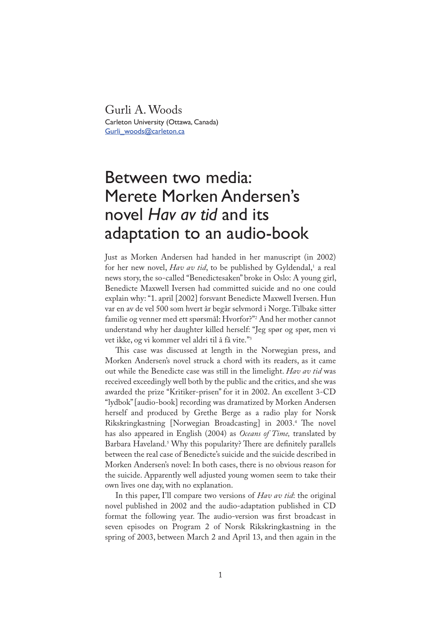Gurli A. Woods Carleton University (Ottawa, Canada) Gurli\_woods@carleton.ca

# Between two media: Merete Morken Andersen's novel *Hav av tid* and its adaptation to an audio-book

Just as Morken Andersen had handed in her manuscript (in 2002) for her new novel, *Hav av tid*, to be published by Gyldendal,' a real news story, the so-called "Benedictesaken" broke in Oslo: A young girl, Benedicte Maxwell Iversen had committed suicide and no one could explain why: "1. april [2002] forsvant Benedicte Maxwell Iversen. Hun var en av de vel 500 som hvert år begår selvmord i Norge. Tilbake sitter familie og venner med ett spørsmål: Hvorfor?"<sup>2</sup> And her mother cannot understand why her daughter killed herself: "Jeg spør og spør, men vi vet ikke, og vi kommer vel aldri til å få vite."<sup>3</sup>

This case was discussed at length in the Norwegian press, and Morken Andersen's novel struck a chord with its readers, as it came out while the Benedicte case was still in the limelight. *Hav av tid* was received exceedingly well both by the public and the critics, and she was awarded the prize "Kritiker-prisen" for it in 2002. An excellent 3-CD "lydbok" [audio-book] recording was dramatized by Morken Andersen herself and produced by Grethe Berge as a radio play for Norsk Rikskringkastning [Norwegian Broadcasting] in 2003.<sup>4</sup> The novel has also appeared in English (2004) as *Oceans of Time,* translated by Barbara Haveland.<sup>5</sup> Why this popularity? There are definitely parallels between the real case of Benedicte's suicide and the suicide described in Morken Andersen's novel: In both cases, there is no obvious reason for the suicide. Apparently well adjusted young women seem to take their own lives one day, with no explanation.

In this paper, I'll compare two versions of *Hav av tid*: the original novel published in 2002 and the audio-adaptation published in CD format the following year. The audio-version was first broadcast in seven episodes on Program 2 of Norsk Rikskringkastning in the spring of 2003, between March 2 and April 13, and then again in the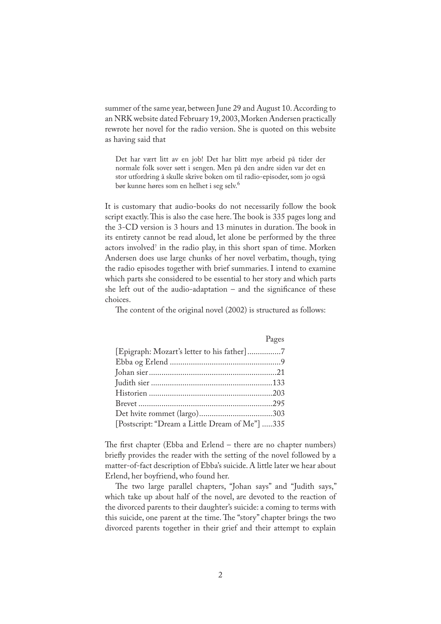summer of the same year, between June 29 and August 10. According to an NRK website dated February 19, 2003, Morken Andersen practically rewrote her novel for the radio version. She is quoted on this website as having said that

Det har vært litt av en job! Det har blitt mye arbeid på tider der normale folk sover søtt i sengen. Men på den andre siden var det en stor utfordring å skulle skrive boken om til radio-episoder, som jo også bør kunne høres som en helhet i seg selv.<sup>6</sup>

It is customary that audio-books do not necessarily follow the book script exactly. This is also the case here. The book is 335 pages long and the 3-CD version is 3 hours and 13 minutes in duration. The book in its entirety cannot be read aloud, let alone be performed by the three actors involved<sup>7</sup> in the radio play, in this short span of time. Morken Andersen does use large chunks of her novel verbatim, though, tying the radio episodes together with brief summaries. I intend to examine which parts she considered to be essential to her story and which parts she left out of the audio-adaptation  $-$  and the significance of these choices.

The content of the original novel (2002) is structured as follows:

| <b>Example 18</b> Pages                        |  |
|------------------------------------------------|--|
|                                                |  |
|                                                |  |
|                                                |  |
|                                                |  |
|                                                |  |
|                                                |  |
|                                                |  |
| [Postscript: "Dream a Little Dream of Me"] 335 |  |

The first chapter (Ebba and Erlend – there are no chapter numbers) briefly provides the reader with the setting of the novel followed by a matter-of-fact description of Ebba's suicide. A little later we hear about Erlend, her boyfriend, who found her.

�e two large parallel chapters, "Johan says" and "Judith says," which take up about half of the novel, are devoted to the reaction of the divorced parents to their daughter's suicide: a coming to terms with this suicide, one parent at the time. The "story" chapter brings the two divorced parents together in their grief and their attempt to explain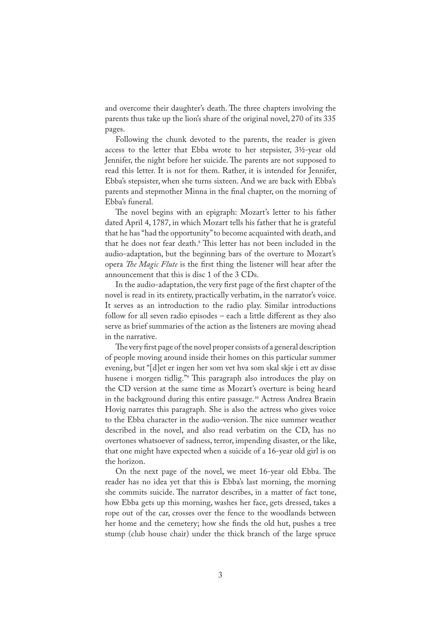and overcome their daughter's death. The three chapters involving the parents thus take up the lion's share of the original novel, 270 of its 335 pages.

Following the chunk devoted to the parents, the reader is given access to the letter that Ebba wrote to her stepsister, 3½-year old Jennifer, the night before her suicide. The parents are not supposed to read this letter. It is not for them. Rather, it is intended for Jennifer, Ebba's stepsister, when she turns sixteen. And we are back with Ebba's parents and stepmother Minna in the final chapter, on the morning of Ebba's funeral.

�e novel begins with an epigraph: Mozart's letter to his father dated April 4, 1787, in which Mozart tells his father that he is grateful that he has "had the opportunity" to become acquainted with death, and that he does not fear death.<sup>8</sup> This letter has not been included in the audio-adaptation, but the beginning bars of the overture to Mozart's opera *The Magic Flute* is the first thing the listener will hear after the announcement that this is disc 1 of the 3 CDs.

In the audio-adaptation, the very first page of the first chapter of the novel is read in its entirety, practically verbatim, in the narrator's voice. It serves as an introduction to the radio play. Similar introductions follow for all seven radio episodes – each a little different as they also serve as brief summaries of the action as the listeners are moving ahead in the narrative.

The very first page of the novel proper consists of a general description of people moving around inside their homes on this particular summer evening, but "[d]et er ingen her som vet hva som skal skje i ett av disse husene i morgen tidlig."<sup>9</sup> This paragraph also introduces the play on the CD version at the same time as Mozart's overture is being heard in the background during this entire passage.<sup>10</sup> Actress Andrea Braein Hovig narrates this paragraph*.* She is also the actress who gives voice to the Ebba character in the audio-version. The nice summer weather described in the novel, and also read verbatim on the CD, has no overtones whatsoever of sadness, terror, impending disaster, or the like, that one might have expected when a suicide of a 16-year old girl is on the horizon.

On the next page of the novel, we meet 16-year old Ebba. The reader has no idea yet that this is Ebba's last morning, the morning she commits suicide. The narrator describes, in a matter of fact tone, how Ebba gets up this morning, washes her face, gets dressed, takes a rope out of the car, crosses over the fence to the woodlands between her home and the cemetery; how she finds the old hut, pushes a tree stump (club house chair) under the thick branch of the large spruce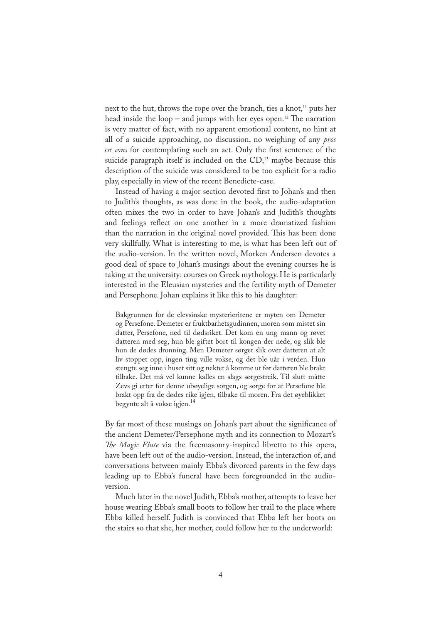next to the hut, throws the rope over the branch, ties a knot,<sup>11</sup> puts her head inside the loop – and jumps with her eyes open.<sup>12</sup> The narration is very matter of fact, with no apparent emotional content, no hint at all of a suicide approaching, no discussion, no weighing of any *pros* or *cons* for contemplating such an act. Only the first sentence of the suicide paragraph itself is included on the CD,<sup>13</sup> maybe because this description of the suicide was considered to be too explicit for a radio play, especially in view of the recent Benedicte-case.

Instead of having a major section devoted first to Johan's and then to Judith's thoughts, as was done in the book, the audio-adaptation often mixes the two in order to have Johan's and Judith's thoughts and feelings reflect on one another in a more dramatized fashion than the narration in the original novel provided. This has been done very skillfully. What is interesting to me, is what has been left out of the audio-version. In the written novel, Morken Andersen devotes a good deal of space to Johan's musings about the evening courses he is taking at the university: courses on Greek mythology. He is particularly interested in the Eleusian mysteries and the fertility myth of Demeter and Persephone. Johan explains it like this to his daughter:

Bakgrunnen for de elevsinske mysterieritene er myten om Demeter og Persefone. Demeter er fruktbarhetsgudinnen, moren som mistet sin datter, Persefone, ned til dødsriket. Det kom en ung mann og røvet datteren med seg, hun ble giftet bort til kongen der nede, og slik ble hun de dødes dronning. Men Demeter sørget slik over datteren at alt liv stoppet opp, ingen ting ville vokse, og det ble uår i verden. Hun stengte seg inne i huset sitt og nektet å komme ut før datteren ble brakt tilbake. Det må vel kunne kalles en slags sørgestreik. Til slutt måtte Zevs gi etter for denne ubøyelige sorgen, og sørge for at Persefone ble brakt opp fra de dødes rike igjen, tilbake til moren. Fra det øyeblikket begynte alt å vokse igjen.<sup>14</sup>

By far most of these musings on Johan's part about the significance of the ancient Demeter/Persephone myth and its connection to Mozart's *�e Magic Flute* via the freemasonry-inspired libretto to this opera, have been left out of the audio-version. Instead, the interaction of, and conversations between mainly Ebba's divorced parents in the few days leading up to Ebba's funeral have been foregrounded in the audioversion.

Much later in the novel Judith, Ebba's mother, attempts to leave her house wearing Ebba's small boots to follow her trail to the place where Ebba killed herself. Judith is convinced that Ebba left her boots on the stairs so that she, her mother, could follow her to the underworld: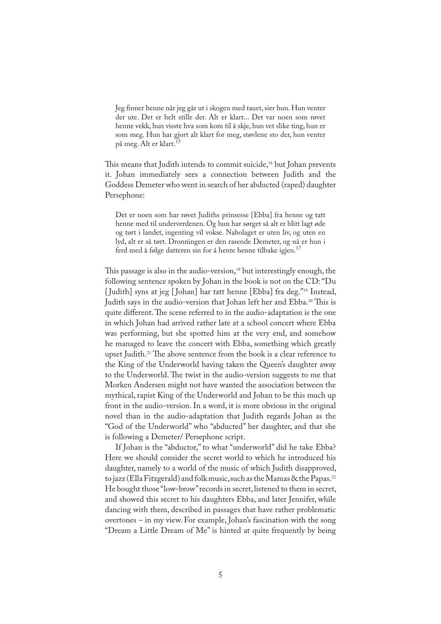Jeg finner henne når jeg går ut i skogen med tauet, sier hun. Hun venter der ute. Det er helt stille der. Alt er klart... Det var noen som røvet henne vekk, hun visste hva som kom til å skje, hun vet slike ting, hun er som meg. Hun har gjort alt klart for meg, støvlene sto der, hun venter på meg. Alt er klart.<sup>15</sup>

This means that Judith intends to commit suicide,<sup>16</sup> but Johan prevents it. Johan immediately sees a connection between Judith and the Goddess Demeter who went in search of her abducted (raped) daughter Persephone:

Det er noen som har røvet Judiths prinsesse [Ebba] fra henne og tatt henne med til underverdenen. Og hun har sørget så alt er blitt lagt øde og tørt i landet, ingenting vil vokse. Nabolaget er uten liv, og uten en lyd, alt er så tørt. Dronningen er den rasende Demeter, og nå er hun i ferd med å følge datteren sin for å hente henne tilbake igjen.<sup>17</sup>

This passage is also in the audio-version,<sup>18</sup> but interestingly enough, the following sentence spoken by Johan in the book is not on the CD: "Du [ Judith] syns at jeg [ Johan] har tatt henne [Ebba] fra deg."<sup>19</sup> Instead, Judith says in the audio-version that Johan left her and Ebba.<sup>20</sup> This is quite different. The scene referred to in the audio-adaptation is the one in which Johan had arrived rather late at a school concert where Ebba was performing, but she spotted him at the very end, and somehow he managed to leave the concert with Ebba, something which greatly upset Judith.<sup>21</sup> The above sentence from the book is a clear reference to the King of the Underworld having taken the Queen's daughter away to the Underworld. The twist in the audio-version suggests to me that Morken Andersen might not have wanted the association between the mythical, rapist King of the Underworld and Johan to be this much up front in the audio-version. In a word, it is more obvious in the original novel than in the audio-adaptation that Judith regards Johan as the "God of the Underworld" who "abducted" her daughter, and that she is following a Demeter/ Persephone script.

If Johan is the "abductor," to what "underworld" did he take Ebba? Here we should consider the secret world to which he introduced his daughter, namely to a world of the music of which Judith disapproved, to jazz (Ella Fitzgerald) and folk music, such as the Mamas & the Papas.<sup>22</sup> He bought those "low-brow" records in secret, listened to them in secret, and showed this secret to his daughters Ebba, and later Jennifer, while dancing with them, described in passages that have rather problematic overtones – in my view. For example, Johan's fascination with the song "Dream a Little Dream of Me" is hinted at quite frequently by being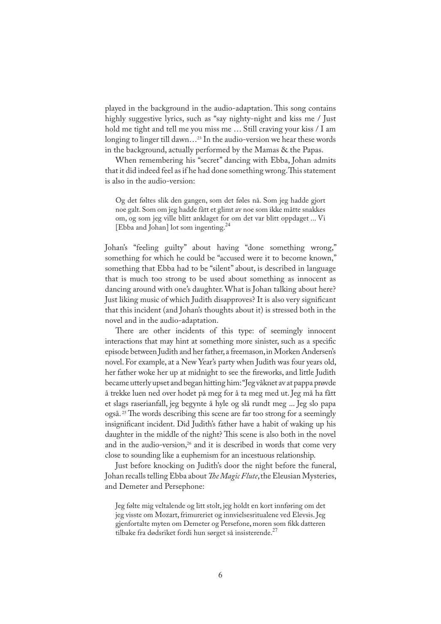played in the background in the audio-adaptation. This song contains highly suggestive lyrics, such as "say nighty-night and kiss me / Just hold me tight and tell me you miss me … Still craving your kiss / I am longing to linger till dawn...<sup>23</sup> In the audio-version we hear these words in the background, actually performed by the Mamas & the Papas.

When remembering his "secret" dancing with Ebba, Johan admits that it did indeed feel as if he had done something wrong. This statement is also in the audio-version:

Og det føltes slik den gangen, som det føles nå. Som jeg hadde gjort noe galt. Som om jeg hadde fått et glimt av noe som ikke måtte snakkes om, og som jeg ville blitt anklaget for om det var blitt oppdaget ... Vi [Ebba and Johan] lot som ingenting.<sup>24</sup>

Johan's "feeling guilty" about having "done something wrong," something for which he could be "accused were it to become known," something that Ebba had to be "silent" about, is described in language that is much too strong to be used about something as innocent as dancing around with one's daughter. What is Johan talking about here? Just liking music of which Judith disapproves? It is also very significant that this incident (and Johan's thoughts about it) is stressed both in the novel and in the audio-adaptation.

There are other incidents of this type: of seemingly innocent interactions that may hint at something more sinister, such as a specific episode between Judith and her father, a freemason, in Morken Andersen's novel. For example, at a New Year's party when Judith was four years old, her father woke her up at midnight to see the fireworks, and little Judith became utterly upset and began hitting him: "Jeg våknet av at pappa prøvde å trekke luen ned over hodet på meg for å ta meg med ut. Jeg må ha fått et slags raserianfall, jeg begynte å hyle og slå rundt meg ... Jeg slo papa også.<sup>25</sup> The words describing this scene are far too strong for a seemingly insignificant incident. Did Judith's father have a habit of waking up his daughter in the middle of the night? This scene is also both in the novel and in the audio-version,<sup>26</sup> and it is described in words that come very close to sounding like a euphemism for an incestuous relationship.

Just before knocking on Judith's door the night before the funeral, Johan recalls telling Ebba about *�e Magic Flute*, the Eleusian Mysteries, and Demeter and Persephone:

Jeg følte mig veltalende og litt stolt, jeg holdt en kort innføring om det jeg visste om Mozart, frimureriet og innvielsesritualene ved Elevsis. Jeg gjenfortalte myten om Demeter og Persefone, moren som fikk datteren tilbake fra dødsriket fordi hun sørget så insisterende.<sup>27</sup>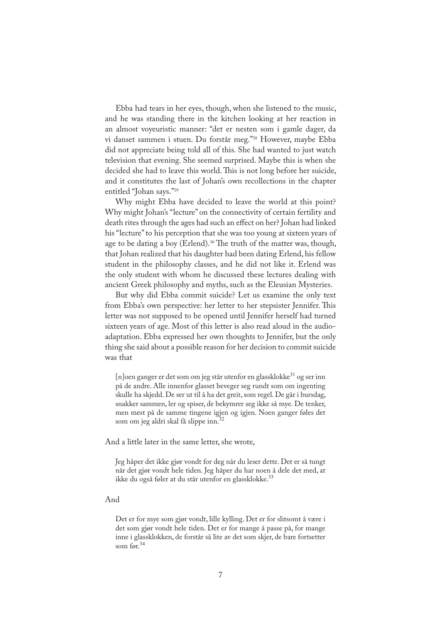Ebba had tears in her eyes, though, when she listened to the music, and he was standing there in the kitchen looking at her reaction in an almost voyeuristic manner: "det er nesten som i gamle dager, da vi danset sammen i stuen. Du forstår meg."<sup>28</sup> However, maybe Ebba did not appreciate being told all of this. She had wanted to just watch television that evening. She seemed surprised. Maybe this is when she decided she had to leave this world. This is not long before her suicide, and it constitutes the last of Johan's own recollections in the chapter entitled "Johan says."<sup>29</sup>

Why might Ebba have decided to leave the world at this point? Why might Johan's "lecture" on the connectivity of certain fertility and death rites through the ages had such an effect on her? Johan had linked his "lecture" to his perception that she was too young at sixteen years of age to be dating a boy (Erlend).<sup>30</sup> The truth of the matter was, though, that Johan realized that his daughter had been dating Erlend, his fellow student in the philosophy classes, and he did not like it. Erlend was the only student with whom he discussed these lectures dealing with ancient Greek philosophy and myths, such as the Eleusian Mysteries.

But why did Ebba commit suicide? Let us examine the only text from Ebba's own perspective: her letter to her stepsister Jennifer. This letter was not supposed to be opened until Jennifer herself had turned sixteen years of age. Most of this letter is also read aloud in the audioadaptation. Ebba expressed her own thoughts to Jennifer, but the only thing she said about a possible reason for her decision to commit suicide was that

[n]oen ganger er det som om jeg står utenfor en glassklokke<sup>31</sup> og ser inn på de andre. Alle innenfor glasset beveger seg rundt som om ingenting skulle ha skjedd. De ser ut til å ha det greit, som regel. De går i bursdag, snakker sammen, ler og spiser, de bekymrer seg ikke så mye. De tenker, men mest på de samme tingene igjen og igjen. Noen ganger føles det som om jeg aldri skal få slippe inn.

And a little later in the same letter, she wrote,

Jeg håper det ikke gjør vondt for deg når du leser dette. Det er så tungt når det gjør vondt hele tiden. Jeg håper du har noen å dele det med, at ikke du også føler at du står utenfor en glassklokke.<sup>33</sup>

#### And

Det er for mye som gjør vondt, lille kylling. Det er for slitsomt å være i det som gjør vondt hele tiden. Det er for mange å passe på, for mange inne i glassklokken, de forstår så lite av det som skjer, de bare fortsetter som før.<sup>34</sup>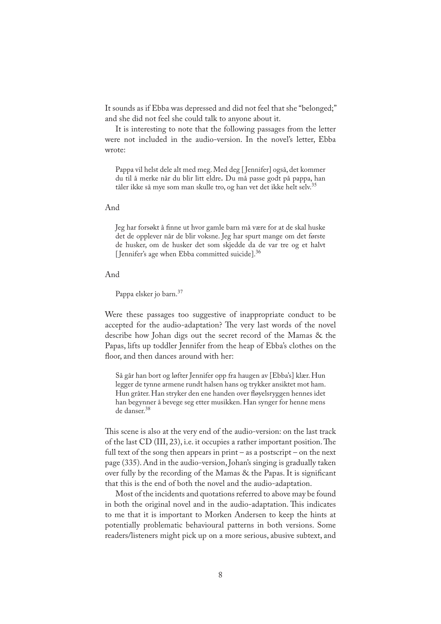It sounds as if Ebba was depressed and did not feel that she "belonged;" and she did not feel she could talk to anyone about it.

It is interesting to note that the following passages from the letter were not included in the audio-version. In the novel's letter, Ebba wrote:

Pappa vil helst dele alt med meg. Med deg [ Jennifer] også, det kommer du til å merke når du blir litt eldre**.** Du må passe godt på pappa, han tåler ikke så mye som man skulle tro, og han vet det ikke helt selv.<sup>35</sup>

#### And

Jeg har forsøkt å finne ut hvor gamle barn må være for at de skal huske det de opplever når de blir voksne. Jeg har spurt mange om det første de husker, om de husker det som skjedde da de var tre og et halvt [Jennifer's age when Ebba committed suicide]. $36$ 

### And

Pappa elsker jo barn.<sup>37</sup>

Were these passages too suggestive of inappropriate conduct to be accepted for the audio-adaptation? The very last words of the novel describe how Johan digs out the secret record of the Mamas & the Papas, lifts up toddler Jennifer from the heap of Ebba's clothes on the floor, and then dances around with her:

Så går han bort og løfter Jennifer opp fra haugen av [Ebba's] klær. Hun legger de tynne armene rundt halsen hans og trykker ansiktet mot ham. Hun gråter. Han stryker den ene handen over fløyelsryggen hennes idet han begynner å bevege seg etter musikken. Han synger for henne mens de danser.<sup>38</sup>

This scene is also at the very end of the audio-version: on the last track of the last CD (III, 23), i.e. it occupies a rather important position. The full text of the song then appears in print – as a postscript – on the next page (335). And in the audio-version, Johan's singing is gradually taken over fully by the recording of the Mamas & the Papas. It is significant that this is the end of both the novel and the audio-adaptation.

Most of the incidents and quotations referred to above may be found in both the original novel and in the audio-adaptation. This indicates to me that it is important to Morken Andersen to keep the hints at potentially problematic behavioural patterns in both versions. Some readers/listeners might pick up on a more serious, abusive subtext, and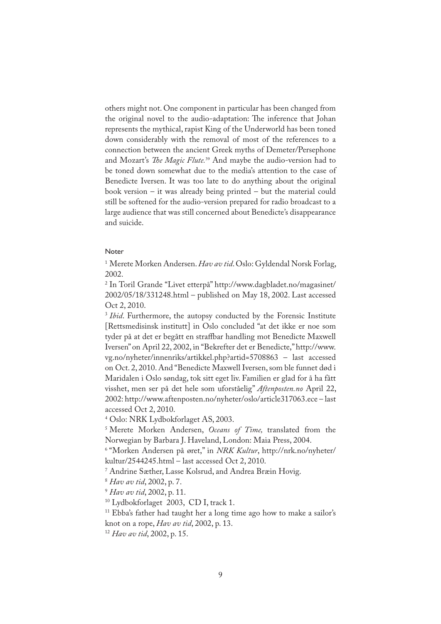others might not. One component in particular has been changed from the original novel to the audio-adaptation: The inference that Johan represents the mythical, rapist King of the Underworld has been toned down considerably with the removal of most of the references to a connection between the ancient Greek myths of Demeter/Persephone and Mozart's *�e Magic Flute.*<sup>39</sup> And maybe the audio-version had to be toned down somewhat due to the media's attention to the case of Benedicte Iversen. It was too late to do anything about the original book version – it was already being printed – but the material could still be softened for the audio-version prepared for radio broadcast to a large audience that was still concerned about Benedicte's disappearance and suicide.

## Noter

1 Merete Morken Andersen. *Hav av tid*. Oslo: Gyldendal Norsk Forlag, 2002.

2 In Toril Grande "Livet etterpå" http://www.dagbladet.no/magasinet/ 2002/05/18/331248.html – published on May 18, 2002. Last accessed Oct 2, 2010.

<sup>3</sup> *Ibid*. Furthermore, the autopsy conducted by the Forensic Institute [Rettsmedisinsk institutt] in Oslo concluded "at det ikke er noe som tyder på at det er begått en straffbar handling mot Benedicte Maxwell Iversen" on April 22, 2002, in "Bekrefter det er Benedicte," http://www. vg.no/nyheter/innenriks/artikkel.php?artid=5708863 – last accessed on Oct. 2, 2010. And "Benedicte Maxwell Iversen, som ble funnet død i Maridalen i Oslo søndag, tok sitt eget liv. Familien er glad for å ha fått visshet, men ser på det hele som uforståelig" *Aftenposten.no* April 22, 2002: http://www.aftenposten.no/nyheter/oslo/article317063.ece – last accessed Oct 2, 2010.

4 Oslo: NRK Lydbokforlaget AS, 2003.

5 Merete Morken Andersen, *Oceans of Time,* translated from the Norwegian by Barbara J. Haveland, London: Maia Press, 2004.

6 "Morken Andersen på øret," in *NRK Kultur*, http://nrk.no/nyheter/ kultur/2544245.html – last accessed Oct 2, 2010.

7 Andrine Sæther, Lasse Kolsrud, and Andrea Bræin Hovig.

<sup>8</sup> *Hav av tid*, 2002, p. 7.

<sup>9</sup> *Hav av tid*, 2002, p. 11.

10 Lydbokforlaget 2003, CD I, track 1.

<sup>11</sup> Ebba's father had taught her a long time ago how to make a sailor's knot on a rope, *Hav av tid*, 2002, p. 13.

<sup>12</sup> *Hav av tid*, 2002, p. 15.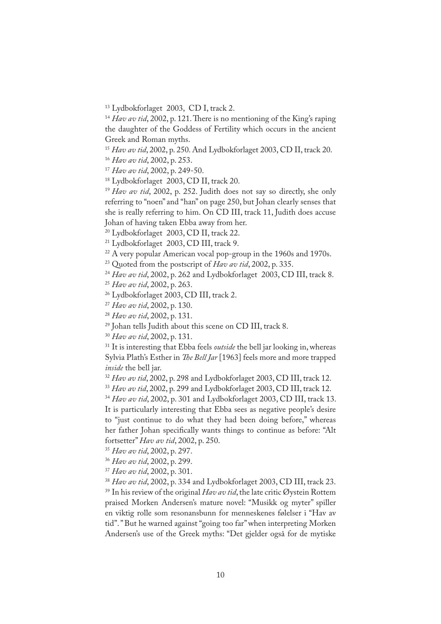<sup>13</sup> Lydbokforlaget 2003, CD I, track 2.

 $14$  *Hav av tid*, 2002, p. 121. There is no mentioning of the King's raping the daughter of the Goddess of Fertility which occurs in the ancient Greek and Roman myths.

<sup>15</sup> *Hav av tid*, 2002, p. 250. And Lydbokforlaget 2003, CD II, track 20.

<sup>16</sup> *Hav av tid*, 2002, p. 253.

<sup>17</sup> *Hav av tid*, 2002, p. 249-50.

<sup>18</sup> Lydbokforlaget 2003, CD II, track 20.

<sup>19</sup> *Hav av tid*, 2002, p. 252. Judith does not say so directly, she only referring to "noen" and "han" on page 250, but Johan clearly senses that she is really referring to him. On CD III, track 11, Judith does accuse Johan of having taken Ebba away from her.

<sup>20</sup> Lydbokforlaget 2003, CD II, track 22.

21 Lydbokforlaget 2003, CD III, track 9.

<sup>22</sup> A very popular American vocal pop-group in the 1960s and 1970s.

23 Quoted from the postscript of *Hav av tid*, 2002, p. 335.

<sup>24</sup> Hav av tid, 2002, p. 262 and Lydbokforlaget 2003, CD III, track 8.

<sup>25</sup> *Hav av tid*, 2002, p. 263.

26 Lydbokforlaget 2003, CD III, track 2.

<sup>27</sup> *Hav av tid*, 2002, p. 130.

<sup>28</sup> *Hav av tid*, 2002, p. 131.

29 Johan tells Judith about this scene on CD III, track 8.

<sup>30</sup> *Hav av tid*, 2002, p. 131.

<sup>31</sup> It is interesting that Ebba feels *outside* the bell jar looking in, whereas Sylvia Plath's Esther in *�e Bell Jar* [1963] feels more and more trapped *inside* the bell jar.

<sup>32</sup> *Hav av tid*, 2002, p. 298 and Lydbokforlaget 2003, CD III, track 12.

<sup>33</sup> *Hav av tid*, 2002, p. 299 and Lydbokforlaget 2003, CD III, track 12.

<sup>34</sup> *Hav av tid*, 2002, p. 301 and Lydbokforlaget 2003, CD III, track 13. It is particularly interesting that Ebba sees as negative people's desire to "just continue to do what they had been doing before," whereas her father Johan speci�cally wants things to continue as before: "Alt fortsetter" *Hav av tid*, 2002, p. 250.

<sup>35</sup> *Hav av tid*, 2002, p. 297.

<sup>36</sup> *Hav av tid*, 2002, p. 299.

<sup>37</sup> *Hav av tid*, 2002, p. 301.

<sup>38</sup> *Hav av tid*, 2002, p. 334 and Lydbokforlaget 2003, CD III, track 23.

39 In his review of the original *Hav av tid*, the late critic Øystein Rottem praised Morken Andersen's mature novel: "Musikk og myter" spiller en viktig rolle som resonansbunn for menneskenes følelser i "Hav av tid". " But he warned against "going too far" when interpreting Morken Andersen's use of the Greek myths: "Det gjelder også for de mytiske